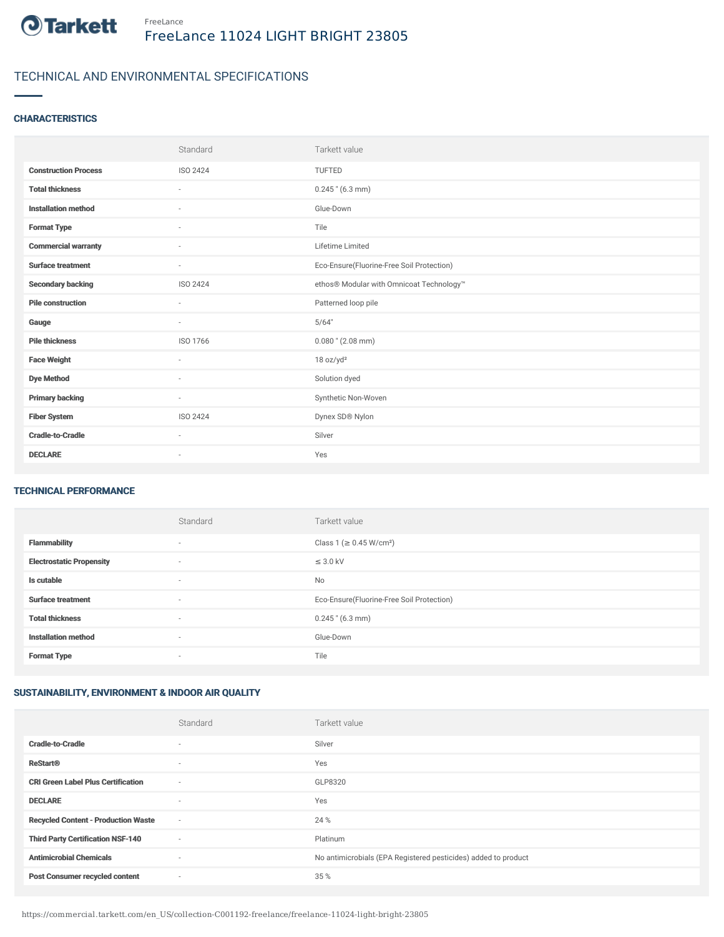

# TECHNICAL AND ENVIRONMENTAL SPECIFICATIONS

## **CHARACTERISTICS**

|                             | Standard | Tarkett value                             |
|-----------------------------|----------|-------------------------------------------|
| <b>Construction Process</b> | ISO 2424 | TUFTED                                    |
| <b>Total thickness</b>      | $\sim$   | $0.245$ " (6.3 mm)                        |
| <b>Installation method</b>  | ٠        | Glue-Down                                 |
| <b>Format Type</b>          | $\sim$   | Tile                                      |
| <b>Commercial warranty</b>  | ×,       | Lifetime Limited                          |
| <b>Surface treatment</b>    | $\sim$   | Eco-Ensure(Fluorine-Free Soil Protection) |
| <b>Secondary backing</b>    | ISO 2424 | ethos® Modular with Omnicoat Technology™  |
| <b>Pile construction</b>    | $\sim$   | Patterned loop pile                       |
| Gauge                       | $\sim$   | 5/64"                                     |
| <b>Pile thickness</b>       | ISO 1766 | $0.080$ " (2.08 mm)                       |
| <b>Face Weight</b>          | $\sim$   | 18 oz/yd <sup>2</sup>                     |
| <b>Dye Method</b>           | $\sim$   | Solution dyed                             |
| <b>Primary backing</b>      | $\sim$   | Synthetic Non-Woven                       |
| <b>Fiber System</b>         | ISO 2424 | Dynex SD® Nylon                           |
| <b>Cradle-to-Cradle</b>     | $\sim$   | Silver                                    |
| <b>DECLARE</b>              | ٠        | Yes                                       |

### TECHNICAL PERFORMANCE

|                                 | Standard | Tarkett value                             |
|---------------------------------|----------|-------------------------------------------|
| <b>Flammability</b>             | $\sim$   | Class 1 (≥ 0.45 W/cm <sup>2</sup> )       |
| <b>Electrostatic Propensity</b> | ٠        | $\leq$ 3.0 kV                             |
| Is cutable                      | $\sim$   | No                                        |
| <b>Surface treatment</b>        | $\sim$   | Eco-Ensure(Fluorine-Free Soil Protection) |
| <b>Total thickness</b>          | ٠        | $0.245$ " (6.3 mm)                        |
| <b>Installation method</b>      | $\sim$   | Glue-Down                                 |
| <b>Format Type</b>              | ٠        | Tile                                      |

# SUSTAINABILITY, ENVIRONMENT & INDOOR AIR QUALITY

|                                            | Standard                 | Tarkett value                                                  |
|--------------------------------------------|--------------------------|----------------------------------------------------------------|
| <b>Cradle-to-Cradle</b>                    | $\sim$                   | Silver                                                         |
| <b>ReStart®</b>                            | $\overline{\phantom{a}}$ | Yes                                                            |
| <b>CRI Green Label Plus Certification</b>  | $\overline{\phantom{a}}$ | GLP8320                                                        |
| <b>DECLARE</b>                             | $\sim$                   | Yes                                                            |
| <b>Recycled Content - Production Waste</b> | $\sim$                   | 24 %                                                           |
| <b>Third Party Certification NSF-140</b>   | $\overline{\phantom{a}}$ | Platinum                                                       |
| <b>Antimicrobial Chemicals</b>             | $\sim$                   | No antimicrobials (EPA Registered pesticides) added to product |
| <b>Post Consumer recycled content</b>      | $\sim$                   | 35 %                                                           |